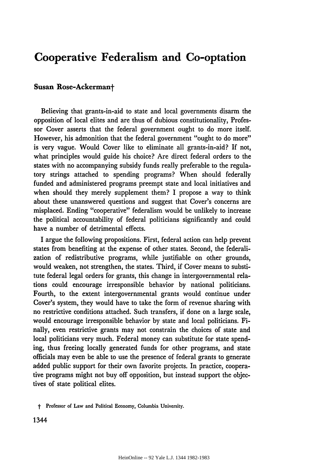## **Cooperative Federalism and Co-optation Cooperative Federalism and Co-optation**

## **Susan Rose-Ackermant Susan Rose-Ackermant**

Believing that grants-in-aid to state and local governments disarm the Believing that grants-in-aid to state and local governments disarm the<br>opposition of local elites and are thus of dubious constitutionality, Professor Cover asserts that the federal government ought to do more itself. However, his admonition that the federal government "ought to do more" However, his admonition that the federal government "ought to do more" is very vague. Would Cover like to eliminate all grants-in-aid? If not, is very vague. Would Cover like to eliminate all grants-in-aid? If not, what principles would guide his choice? Are direct federal orders to the what principles would guide his choice? Are direct federal orders to the<br>states with no accompanying subsidy funds really preferable to the regulatory strings attached to spending programs? When should federally tory strings attached to spending programs? When should federally<br>funded and administered programs preempt state and local initiatives and when should they merely supplement them? I propose a way to think when should they merely supplement them? I propose a way to think about these unanswered questions and suggest that Cover's concerns are about these unanswered questions and suggest that Cover's concerns are<br>misplaced. Ending ''cooperative'' federalism would be unlikely to increase the political accountability of federal politicians significantly and could the political accountability of federal politicians significantly and could have a number of detrimental effects. have a number of detrimental effects.

I argue the following propositions. First, federal action can help prevent I argue the following propositions. First, federal action can help prevent states from benefiting at the expense of other states. Second, the federali-states from benefiting at the expense of other states. Second, the federalization of redistributive programs, while justifiable on other grounds, zation of redistributive programs, while justifiable on other grounds, would weaken, not strengthen, the states. Third, if Cover means to substi-would weaken, not strengthen, the states. Third, if Cover means to substitute federal legal orders for grants, this change in intergovernmental rela-tute federal legal orders for grants, this change in intergovernmental relations could encourage irresponsible behavior **by** national politicians. tions could encourage irresponsible behavior by national politicians. Fourth, to the extent intergovernmental grants would continue under Fourth, to the extent intergovernmental grants would continue under Cover's system, they would have to take the form of revenue sharing with Cover's system, they would have to take the form of revenue sharing with no restrictive conditions attached. Such transfers, if done on a large scale, no restrictive conditions attached. Such transfers, if done on a large scale, would encourage irresponsible behavior **by** state and local politicians. Fi-would encourage irresponsible behavior by state and local politicians. Finally, even restrictive grants may not constrain the choices of state and nally, even restrictive grants may not constrain the choices of state and local politicians very much. Federal money can substitute for state spend-local politicians very much. Federal money can substitute for state spending, thus freeing locally generated funds for other programs, and state ing, thus freeing locally generated funds for other programs, and state officials may even be able to use the presence of federal grants to generate officials may even be able to use the presence of federal grants to generate added public support for their own favorite projects. In practice, coopera-added public support for their own favorite projects. In practice, cooperative programs might not buy off opposition, but instead support the objec-tive programs might not buy off opposition, but instead support the objectives of state political elites. tives of state political elites.

t Professor of Law and Political Economy, Columbia University. t Professor of Law and Political Economy, Columbia University.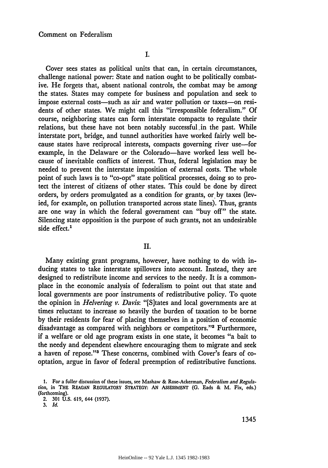Cover sees states as political units that can, in certain circumstances, Cover sees states as political units that can, in certain circumstances, challenge national power: State and nation ought to be politically combat-challenge national power: State and nation ought to be politically combative. He forgets that, absent national controls, the combat may be *among* ive. He forgets that, absent national controls, the combat may be *among*the states. States may compete for business and population and seek to the states. States may compete for business and population and seek to<br>impose external costs—such as air and water pollution or taxes—on residents of other states. We might call this "irresponsible federalism." Of dents of other states. We might call this "irresponsible federalism." Of course, neighboring states can form interstate compacts to regulate their course, neighboring states can form interstate compacts to regulate their relations, but these have not been notably successful.in the past. While relations, but these have not been notably successful.in the past. While interstate port, bridge, and tunnel authorities have worked fairly well be-interstate port, bridge, and tunnel authorities have worked fairly well because states have reciprocal interests, compacts governing river use-for example, in the Delaware or the Colorado-have worked less well because of inevitable conflicts of interest. Thus, federal legislation may be cause of inevitable conflicts of interest. Thus, federal legislation may be needed to prevent the interstate imposition of external costs. The whole needed to prevent the interstate imposition of external costs. The whole<br>point of such laws is to "co-opt" state political processes, doing so to protect the interest of citizens of other states. This could be done by direct tect the interest of citizens of other states. This could be done by direct orders, by orders promulgated as a condition for grants, or. by taxes (lev-orders, by orders promulgated as a condition for grants, or. by taxes (levied, for example, on pollution transported across state lines). Thus, grants ied, for example, on pollution transported across state lines). Thus, grants are one way in which the federal government can "buy off" the state. are one way in which the federal government can "buy off" the state. Silencing state opposition is the purpose of such grants, not an undesirable Silencing state opposition is the purpose of such grants, not an undesirable side effect.<sup>1</sup>

## II. **II.**

Many existing grant programs, however, have nothing to do with in-Many existing grant programs, however, have nothing to do with inducing states to take interstate spillovers into account. Instead, they are ducing states to take interstate spillovers into account. Instead, they are designed to redistribute income and services to the needy. It is a common-designed to redistribute income and services to the needy. **It** is a commonplace in the economic analysis of federalism to point out that state and place in the economic analysis of federalism to point out that state and local governments are poor instruments of redistributive policy. To quote local governments are poor instruments of redistributive policy. To quote the opinion in *Helvering v. Davis:* "[S]tates and local governments are at the opinion in *Helvering v. Davis:* "[S]tates and local governments are at times reluctant to increase so heavily the burden of taxation to be borne times reluctant to increase so heavily the burden of taxation to be **by** their residents for fear of placing themselves in a position of economic by their residents for fear of placing themselves in a position of economic disadvantage as compared with neighbors or competitors."<sup>2</sup> Furthermore, if a welfare or old age program exists in one state, it becomes "a bait to if a welfare or old age program exists in one state, it becomes "a bait to the needy and dependent elsewhere encouraging them to migrate and seek the needy and dependent elsewhere encouraging them to migrate and seek a haven of repose."<sup>3</sup> These concerns, combined with Cover's fears of cooptation, argue in favor of federal preemption of redistributive functions. optation, argue in favor of federal preemption of redistributive functions.

<sup>1.</sup> For a fuller discussion of these issues, see Mashaw & Rose-Ackerman, Federalism and Regula*tion,* in THE **REAGAN** REGULATORY STRATEGY: **AN ASSESSMENT (G.** Eads & M. Fix, eds.) *tion,* in THE REAGAN REGULATORY STRATEGY: AN ASSESSMENT (G. Eads & M. Fix, eds.) (forthcoming). (forthcoming).2. <sup>301</sup> U.S. 619, <sup>644</sup> (1937).

<sup>2.</sup> **301 U.S. 619,** 644 **(1937).**

**<sup>3.</sup>** *Id.* 3. *Id*.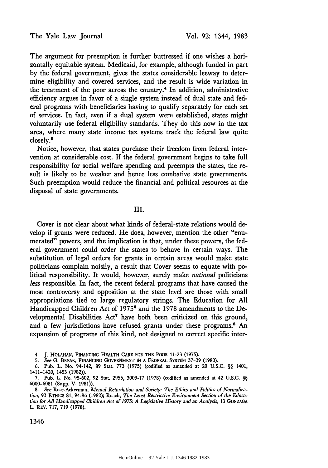The Yale Law Journal<br>The argument for preemption is further buttressed if one wishes a hori-<br> zontally equitable system. Medicaid, for example, although funded in part zontally equitable system. Medicaid, for example, although funded in part by the federal government, gives the states considerable leeway to deter-by the federal government, gives the states considerable leeway to determine eligibility and covered services, and the result is wide variation in mine eligibility and covered services, and the result is wide variation in the treatment of the poor across the country.<sup>4</sup> In addition, administrative efficiency argues in favor of a single system instead of dual state and fed-efficiency argues in favor of a single system instead of dual state and federal programs with beneficiaries having to qualify separately for each set eral programs with beneficiaries having to qualify separately for each set of services. In fact, even if a dual system were established, states might voluntarily use federal eligibility standards. They do this now in the tax voluntarily use federal eligibility standards. They do this now in the tax area, where many state income tax systems track the federal law quite closely.<sup>5</sup> closely.<sup>5</sup>

Notice, however, that states purchase their freedom from federal inter-Notice, however, that states purchase their freedom from federal intervention at considerable cost. If the federal government begins to take full vention at considerable cost. If the federal government begins to take full responsibility for social welfare spending and preempts the states, the re-responsibility for social welfare spending and preempts the states, the result is likely to be weaker and hence less combative state governments. sult is likely to be weaker and hence less combative state governments. Such preemption would reduce the financial and political resources at the Such preemption would reduce the financial and political resources at the disposal of state governments. disposal of state governments.

## III. III.

Cover is not clear about what kinds of federal-state relations would de-Cover is not clear about what kinds of federal-state relations would develop if grants were reduced. He does, however, mention the other "enu-velop if grants were reduced. He does, however, mention the other "enumerated" powers, and the implication is that, under these powers, the fed-merated" powers, and the implication is that, under these powers, the federal government could order the states to behave in certain ways. The eral government could order the states to behave in certain ways. The substitution of legal orders for grants in certain areas would make state substitution of legal orders for grants in certain areas would make state politicians complain noisily, a result that Cover seems to equate with po-politicians complain noisily, a result that Cover seems to equate with political responsibility. It would, however, surely make *national* politicians litical responsibility. It would, however, surely make *national* politicians*less* responsible. In fact, the recent federal programs that have caused the less responsible. In fact, the recent federal programs that have caused the<br>most controversy and opposition at the state level are those with small appropriations tied to large regulatory strings. The Education for All appropriations tied to large regulatory strings. The Education for All<br>Handicapped Children Act of 1975<sup>6</sup> and the 1978 amendments to the Developmental Disabilities Act<sup>7</sup> have both been criticized on this ground, and a few jurisdictions have refused grants under these programs.<sup>8</sup> An expansion of programs of this kind, not designed to correct specific inter-expansion of programs of this kind, not designed to correct specific inter-

4. **J. HOLAHAN, FINANCING** HEALTH CARE FOR THE POOR **11-23 (1975).** 4. J. HOLAHAN, FINANCING HEALTH CARE FOR THE POOR 11-23 (1975).

**5.** *See* **G.** BREAK, FINANCING **GOVERNMENT IN** A FEDERAL SYSTEM **37-39 (1980).** 5. See G. BREAK, FINANCING GOVERNMENT IN A FEDERAL SYSTEM 37-39 (1980).

**6.** Pub. L. No. 94-142, **89** Stat. **773 (1975)** (codified as amended at 20 **U.S.C.** §§ 1401, 6. Pub. L. No. 94-142, 89 Stat. 773 (1975) (codified as amended at 20 U.S.C. §§ 1401, 1411-1420, 1453 **(1982)).** 1411-1420, 1453 (1982».

**7.** Pub. L. No. **95-602, 92** Stat. **2955, 3003-17 (1978)** (codified as amended at 42 **U.S.C.** §§ 7. Pub. L. No. 95-602, 92 Stat. 2955, 3003-17 (1973) (codified as amended at 42 U.S.C. §§ **6000-6081** (Supp. V. **1981)).** 6000-6081 (Supp. V. 1981».

8. See Rose-Ackerman, Mental Retardation and Society: The Ethics and Politics of Normalization, 93 ETHICS 81, 94-96 (1982); Roach, The Least Restrictive Environment Section of the Education for All Handicapped Children Act of 1975: A Legislative History and an Analysis, 13 GONZAGA L. REV. **717, 719 (1978).** L. REV. 717, 719 (1978).

1346 1346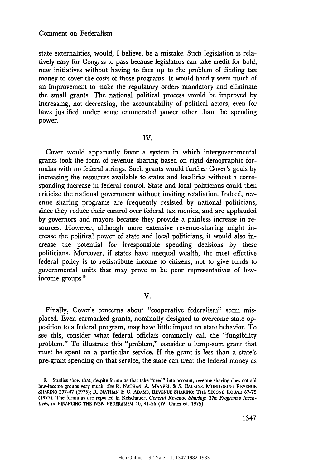state externalities, would, I believe, be a mistake. Such legislation is rela-state externalities, would, I believe, be a mistake. Such legislation is relatively easy for Congrss to pass because legislators can take credit for bold, tively easy for Congrss to pass because legislators can take credit for bold,<br>new initiatives without having to face up to the problem of finding tax money to cover the costs of those programs. It would hardly seem much of money to cover the costs of those programs. It would hardly seem much of an improvement to make the regulatory orders mandatory and eliminate an improvement to make the regulatory orders mandatory and eliminate the small grants. The national political process would be improved by the small grants. The national political process would be improved by increasing, not decreasing, the accountability of political actors, even for increasing, not decreasing, the accountability of political actors, even for laws justified under some enumerated power other than the spending laws justified under some enumerated power other than the spending power.

IV.

Cover would apparently favor a system in which intergovernmental IV.Cover would apparently favor <sup>a</sup> system in which intergovernmental grants took the form of revenue sharing based on rigid demographic for-grants took the form of revenue sharing based on rigid demographic formulas with no federal strings. Such grants would further Cover's goals by mulas with no federal strings. Such grants would further Cover's goals by increasing the resources available to states and localities without a corre-increasing the resources available to states and localities without a corresponding increase in federal control. State and local politicians could then sponding increase in federal control. State and local politicians could criticize the national government without inviting retaliation. Indeed, rev-criticize the national government without inviting retaliation. Indeed, revenue sharing programs are frequently resisted by national politicians, enue sharing programs are frequently resisted by national politicians, since they reduce their control over federal tax monies, and are applauded since they reduce their control over federal tax monies, and are applauded by governors and mayors because they provide a painless increase in re-by governors and mayors because they provide a painless increase in resources. However, although more extensive revenue-sharing might in-sources. However, although more extensive revenue-sharing might crease the political power of state and local politicians, it would also in-crease the political power of state and local politicians, it would also crease the potential for irresponsible spending decisions by these crease the potential for irresponsible spending decisions by these politicians. Moreover, if states have unequal wealth, the most effective politicians. Moreover, if states have unequal wealth, the most effective federal policy is to redistribute income to citizens, not to give funds to federal policy is to redistribute income to citizens, not to give funds to governmental units that may prove to be poor representatives of low-governmental units that may prove to be poor representatives of lowincome groups.9 income groups.9

V. V.

Finally, Cover's concerns about "cooperative federalism" seem mis-Finally, Cover's concerns about "cooperative federalism" seem misplaced. Even earmarked grants, nominally designed to overcome state op-placed. Even earmarked grants, nominally designed to overcome state opposition to a federal program, may have little impact on state behavior. To position to a federal program, may have little impact on state behavior. To see this, consider what federal officials commonly call the "fungibility see this, consider what federal officials commonly call the "fungibility problem." To illustrate this "problem," consider a lump-sum grant that problem." To illustrate this "problem," consider a lump-sum grant that must be spent on a particular service. If the grant is less than a state's must be spent on a particular service. If the grant is less than a state's pre-grant spending on that service, the state can treat the federal money as<br>9. Studies show that, despite formulas that take "need" into account, revenue sharing does not aid

**<sup>9.</sup>** Studies show that, despite formulas that take "need" into account, revenue sharing does not aid low-income groups very much. *See* R. **NATHAN, A.** MANVEL & **S.** CALKINS, MONITORING **REVENUE** low-income groups very much. See R. NATHAN, A. MANVEL & S. CALKINS, MONITORING REVENUE **SHARING 237-47 (1975);** R. **NATHAN** & **C. ADAMS, REVENUE SHARING:** THE **SECOND ROUND 67-75** SHARING 237-47 (1975); R. NATHAN & C. ADAMS, REVENUE SHARING: THE SECOND ROUND 67-75 (1977). The formulas are reported in Reischauer, General Revenue Sharing: The Program's Incen*tives,* in **FINANCING** THE **NEW** FEDERALISM 40, 41-56 **(W.** Oates **ed. 1975).** *tives,* in FINANCING THE NEW FEDERALISM 40, 41-56 (W. Oates ed. 1975).